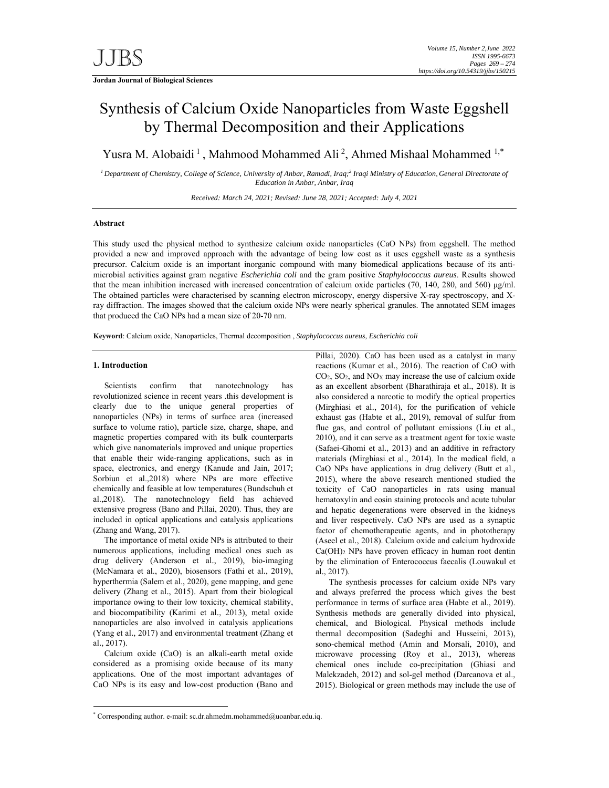# Synthesis of Calcium Oxide Nanoparticles from Waste Eggshell by Thermal Decomposition and their Applications

Yusra M. Alobaidi<sup>1</sup>, Mahmood Mohammed Ali<sup>2</sup>, Ahmed Mishaal Mohammed  $1,*$ 

<sup>*1*</sup> Department of Chemistry, College of Science, University of Anbar, Ramadi, Iraq;<sup>2</sup> Iraqi Ministry of Education, General Directorate of *Education in Anbar, Anbar, Iraq* 

*Received: March 24, 2021; Revised: June 28, 2021; Accepted: July 4, 2021* 

## **Abstract**

This study used the physical method to synthesize calcium oxide nanoparticles (CaO NPs) from eggshell. The method provided a new and improved approach with the advantage of being low cost as it uses eggshell waste as a synthesis precursor. Calcium oxide is an important inorganic compound with many biomedical applications because of its antimicrobial activities against gram negative *Escherichia coli* and the gram positive *Staphylococcus aureus*. Results showed that the mean inhibition increased with increased concentration of calcium oxide particles (70, 140, 280, and 560) μg/ml. The obtained particles were characterised by scanning electron microscopy, energy dispersive X-ray spectroscopy, and Xray diffraction. The images showed that the calcium oxide NPs were nearly spherical granules. The annotated SEM images that produced the CaO NPs had a mean size of 20-70 nm.

**Keyword**: Calcium oxide, Nanoparticles, Thermal decomposition , *Staphylococcus aureus, Escherichia coli*

## **1. Introduction**

-

Scientists confirm that nanotechnology has revolutionized science in recent years .this development is clearly due to the unique general properties of nanoparticles (NPs) in terms of surface area (increased surface to volume ratio), particle size, charge, shape, and magnetic properties compared with its bulk counterparts which give nanomaterials improved and unique properties that enable their wide-ranging applications, such as in space, electronics, and energy (Kanude and Jain, 2017; Sorbiun et al.,2018) where NPs are more effective chemically and feasible at low temperatures (Bundschuh et al.,2018). The nanotechnology field has achieved extensive progress (Bano and Pillai, 2020). Thus, they are included in optical applications and catalysis applications (Zhang and Wang, 2017).

The importance of metal oxide NPs is attributed to their numerous applications, including medical ones such as drug delivery (Anderson et al., 2019), bio-imaging (McNamara et al., 2020), biosensors (Fathi et al., 2019), hyperthermia (Salem et al., 2020), gene mapping, and gene delivery (Zhang et al., 2015). Apart from their biological importance owing to their low toxicity, chemical stability, and biocompatibility (Karimi et al., 2013), metal oxide nanoparticles are also involved in catalysis applications (Yang et al., 2017) and environmental treatment (Zhang et al., 2017).

Calcium oxide (CaO) is an alkali-earth metal oxide considered as a promising oxide because of its many applications. One of the most important advantages of CaO NPs is its easy and low-cost production (Bano and

Pillai, 2020). CaO has been used as a catalyst in many reactions (Kumar et al., 2016). The reaction of CaO with CO2, SO2, and NOX may increase the use of calcium oxide as an excellent absorbent (Bharathiraja et al., 2018). It is also considered a narcotic to modify the optical properties (Mirghiasi et al., 2014), for the purification of vehicle exhaust gas (Habte et al., 2019), removal of sulfur from flue gas, and control of pollutant emissions (Liu et al., 2010), and it can serve as a treatment agent for toxic waste (Safaei-Ghomi et al., 2013) and an additive in refractory materials (Mirghiasi et al., 2014). In the medical field, a CaO NPs have applications in drug delivery (Butt et al., 2015), where the above research mentioned studied the toxicity of CaO nanoparticles in rats using manual hematoxylin and eosin staining protocols and acute tubular and hepatic degenerations were observed in the kidneys and liver respectively. CaO NPs are used as a synaptic factor of chemotherapeutic agents, and in phototherapy (Aseel et al., 2018). Calcium oxide and calcium hydroxide Ca(OH)2 NPs have proven efficacy in human root dentin by the elimination of Enterococcus faecalis (Louwakul et al., 2017).

The synthesis processes for calcium oxide NPs vary and always preferred the process which gives the best performance in terms of surface area (Habte et al., 2019). Synthesis methods are generally divided into physical, chemical, and Biological. Physical methods include thermal decomposition (Sadeghi and Husseini, 2013), sono-chemical method (Amin and Morsali, 2010), and microwave processing (Roy et al., 2013), whereas chemical ones include co-precipitation (Ghiasi and Malekzadeh, 2012) and sol-gel method (Darcanova et al., 2015). Biological or green methods may include the use of

<sup>\*</sup> Corresponding author. e-mail: sc.dr.ahmedm.mohammed@uoanbar.edu.iq.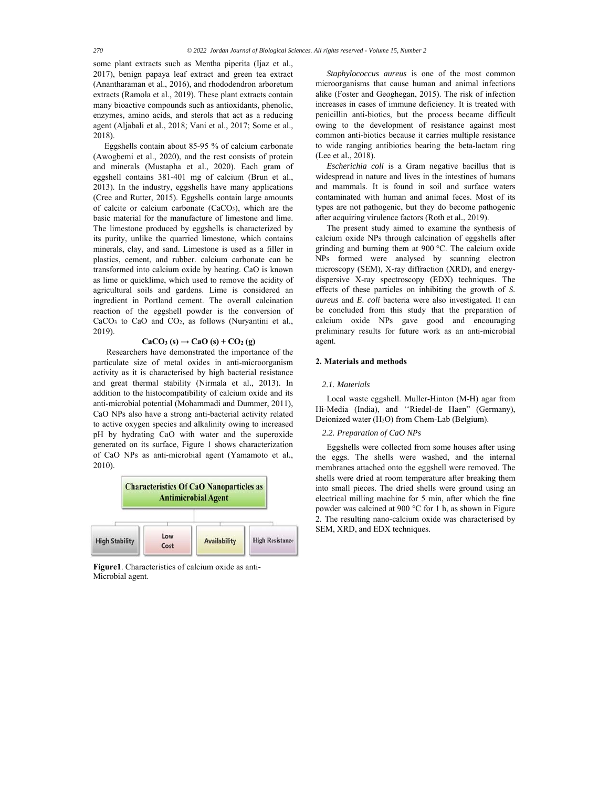some plant extracts such as Mentha piperita (Ijaz et al., 2017), benign papaya leaf extract and green tea extract (Anantharaman et al., 2016), and rhododendron arboretum extracts (Ramola et al., 2019). These plant extracts contain many bioactive compounds such as antioxidants, phenolic, enzymes, amino acids, and sterols that act as a reducing agent (Aljabali et al., 2018; Vani et al., 2017; Some et al., 2018).

Eggshells contain about 85-95 % of calcium carbonate (Awogbemi et al., 2020), and the rest consists of protein and minerals (Mustapha et al., 2020). Each gram of eggshell contains 381-401 mg of calcium (Brun et al., 2013). In the industry, eggshells have many applications (Cree and Rutter, 2015). Eggshells contain large amounts of calcite or calcium carbonate  $(CaCO<sub>3</sub>)$ , which are the basic material for the manufacture of limestone and lime. The limestone produced by eggshells is characterized by its purity, unlike the quarried limestone, which contains minerals, clay, and sand. Limestone is used as a filler in plastics, cement, and rubber. calcium carbonate can be transformed into calcium oxide by heating. CaO is known as lime or quicklime, which used to remove the acidity of agricultural soils and gardens. Lime is considered an ingredient in Portland cement. The overall calcination reaction of the eggshell powder is the conversion of CaCO3 to CaO and CO2, as follows (Nuryantini et al., 2019).

## $CaCO<sub>3</sub>(s) \rightarrow CaO(s) + CO<sub>2</sub>(g)$

 Researchers have demonstrated the importance of the particulate size of metal oxides in anti-microorganism activity as it is characterised by high bacterial resistance and great thermal stability (Nirmala et al., 2013). In addition to the histocompatibility of calcium oxide and its anti-microbial potential (Mohammadi and Dummer, 2011), CaO NPs also have a strong anti-bacterial activity related to active oxygen species and alkalinity owing to increased pH by hydrating CaO with water and the superoxide generated on its surface, Figure 1 shows characterization of CaO NPs as anti-microbial agent (Yamamoto et al., 2010).



**Figure1**. Characteristics of calcium oxide as anti-Microbial agent.

*Staphylococcus aureus* is one of the most common microorganisms that cause human and animal infections alike (Foster and Geoghegan, 2015). The risk of infection increases in cases of immune deficiency. It is treated with penicillin anti-biotics, but the process became difficult owing to the development of resistance against most common anti-biotics because it carries multiple resistance to wide ranging antibiotics bearing the beta-lactam ring (Lee et al., 2018).

*Escherichia coli* is a Gram negative bacillus that is widespread in nature and lives in the intestines of humans and mammals. It is found in soil and surface waters contaminated with human and animal feces. Most of its types are not pathogenic, but they do become pathogenic after acquiring virulence factors (Roth et al., 2019).

The present study aimed to examine the synthesis of calcium oxide NPs through calcination of eggshells after grinding and burning them at 900 °C. The calcium oxide NPs formed were analysed by scanning electron microscopy (SEM), X-ray diffraction (XRD), and energydispersive X-ray spectroscopy (EDX) techniques. The effects of these particles on inhibiting the growth of *S. aureus* and *E. coli* bacteria were also investigated*.* It can be concluded from this study that the preparation of calcium oxide NPs gave good and encouraging preliminary results for future work as an anti-microbial agent.

## **2. Materials and methods**

## *2.1. Materials*

Local waste eggshell. Muller-Hinton (M-H) agar from Hi-Media (India), and ''Riedel-de Haen" (Germany), Deionized water (H2O) from Chem-Lab (Belgium).

## *2.2. Preparation of CaO NPs*

Eggshells were collected from some houses after using the eggs. The shells were washed, and the internal membranes attached onto the eggshell were removed. The shells were dried at room temperature after breaking them into small pieces. The dried shells were ground using an electrical milling machine for 5 min, after which the fine powder was calcined at 900 °C for 1 h, as shown in Figure 2. The resulting nano-calcium oxide was characterised by SEM, XRD, and EDX techniques.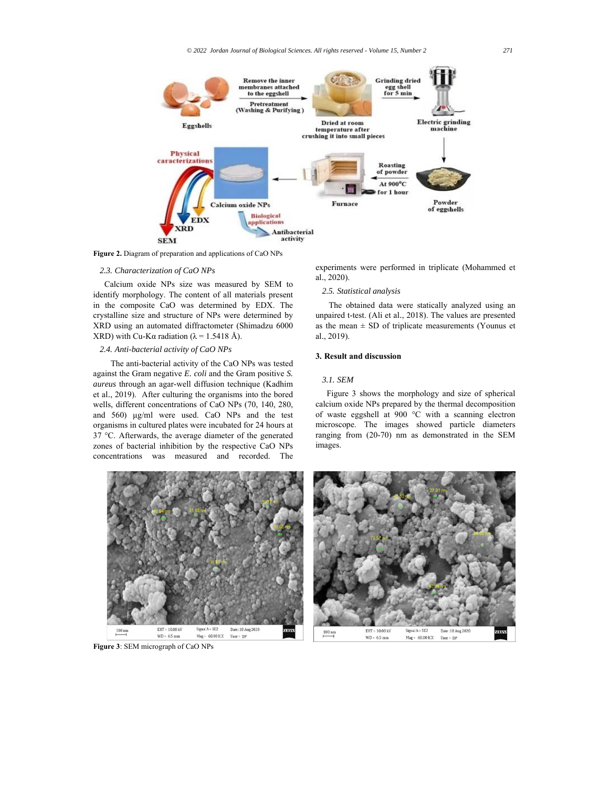

**Figure 2.** Diagram of preparation and applications of CaO NPs

#### *2.3. Characterization of CaO NPs*

Calcium oxide NPs size was measured by SEM to identify morphology. The content of all materials present in the composite CaO was determined by EDX. The crystalline size and structure of NPs were determined by XRD using an automated diffractometer (Shimadzu 6000 XRD) with Cu-Kα radiation ( $\lambda$  = 1.5418 Å).

# *2.4. Anti-bacterial activity of CaO NPs*

 The anti-bacterial activity of the CaO NPs was tested against the Gram negative *E. coli* and the Gram positive *S. aureus* through an agar-well diffusion technique (Kadhim et al., 2019). After culturing the organisms into the bored wells, different concentrations of CaO NPs (70, 140, 280, and 560) μg/ml were used. CaO NPs and the test organisms in cultured plates were incubated for 24 hours at 37 °C. Afterwards, the average diameter of the generated zones of bacterial inhibition by the respective CaO NPs concentrations was measured and recorded. The

experiments were performed in triplicate (Mohammed et al., 2020).

### *2.5. Statistical analysis*

 The obtained data were statically analyzed using an unpaired t-test. (Ali et al., 2018). The values are presented as the mean  $\pm$  SD of triplicate measurements (Younus et al., 2019).

## **3. Result and discussion**

### *3.1. SEM*

Figure 3 shows the morphology and size of spherical calcium oxide NPs prepared by the thermal decomposition of waste eggshell at 900 °C with a scanning electron microscope. The images showed particle diameters ranging from (20-70) nm as demonstrated in the SEM images.



**Figure 3**: SEM micrograph of CaO NPs

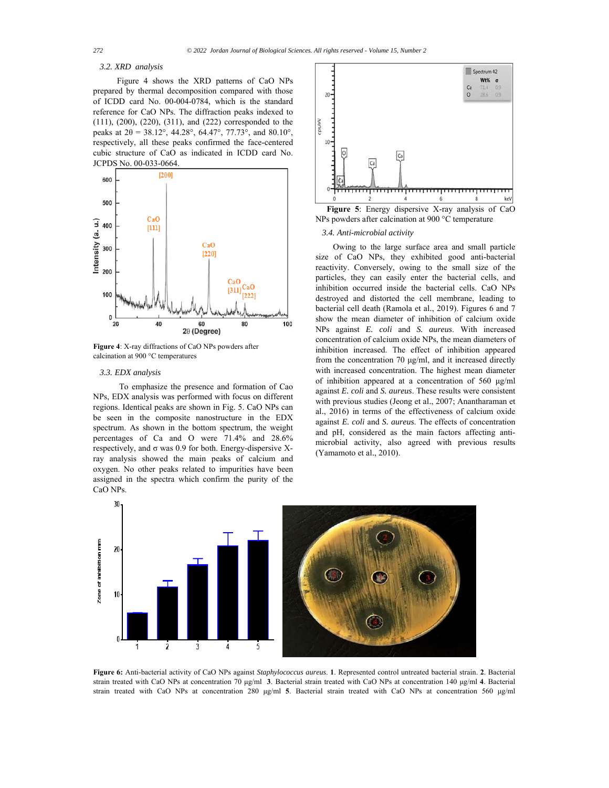#### *3.2. XRD analysis*

 Figure 4 shows the XRD patterns of CaO NPs prepared by thermal decomposition compared with those of ICDD card No. 00-004-0784, which is the standard reference for CaO NPs. The diffraction peaks indexed to (111), (200), (220), (311), and (222) corresponded to the peaks at  $2\theta = 38.12^{\circ}$ , 44.28°, 64.47°, 77.73°, and 80.10°, respectively, all these peaks confirmed the face-centered cubic structure of CaO as indicated in ICDD card No. JCPDS No. 00-033-0664.



**Figure 4**: X-ray diffractions of CaO NPs powders after calcination at 900 °C temperatures

### *3.3. EDX analysis*

 To emphasize the presence and formation of Cao NPs, EDX analysis was performed with focus on different regions. Identical peaks are shown in Fig. 5. CaO NPs can be seen in the composite nanostructure in the EDX spectrum. As shown in the bottom spectrum, the weight percentages of Ca and O were 71.4% and 28.6% respectively, and σ was 0.9 for both. Energy-dispersive Xray analysis showed the main peaks of calcium and oxygen. No other peaks related to impurities have been assigned in the spectra which confirm the purity of the CaO NPs.



**Figure 5**: Energy dispersive X-ray analysis of CaO NPs powders after calcination at 900 °C temperature

#### *3.4. Anti-microbial activity*

 Owing to the large surface area and small particle size of CaO NPs, they exhibited good anti-bacterial reactivity. Conversely, owing to the small size of the particles, they can easily enter the bacterial cells, and inhibition occurred inside the bacterial cells. CaO NPs destroyed and distorted the cell membrane, leading to bacterial cell death (Ramola et al., 2019). Figures 6 and 7 show the mean diameter of inhibition of calcium oxide NPs against *E. coli* and *S. aureus*. With increased concentration of calcium oxide NPs, the mean diameters of inhibition increased. The effect of inhibition appeared from the concentration 70 μg/ml, and it increased directly with increased concentration. The highest mean diameter of inhibition appeared at a concentration of 560 μg/ml against *E. coli* and *S. aureus*. These results were consistent with previous studies (Jeong et al., 2007; Anantharaman et al., 2016) in terms of the effectiveness of calcium oxide against *E. coli* and *S. aureus*. The effects of concentration and pH, considered as the main factors affecting antimicrobial activity, also agreed with previous results (Yamamoto et al., 2010).



**Figure 6:** Anti-bacterial activity of CaO NPs against *Staphylococcus aureus*. **1**. Represented control untreated bacterial strain. **2**. Bacterial strain treated with CaO NPs at concentration 70 μg/ml **3**. Bacterial strain treated with CaO NPs at concentration 140 μg/ml **4**. Bacterial strain treated with CaO NPs at concentration 280 μg/ml **5**. Bacterial strain treated with CaO NPs at concentration 560 μg/ml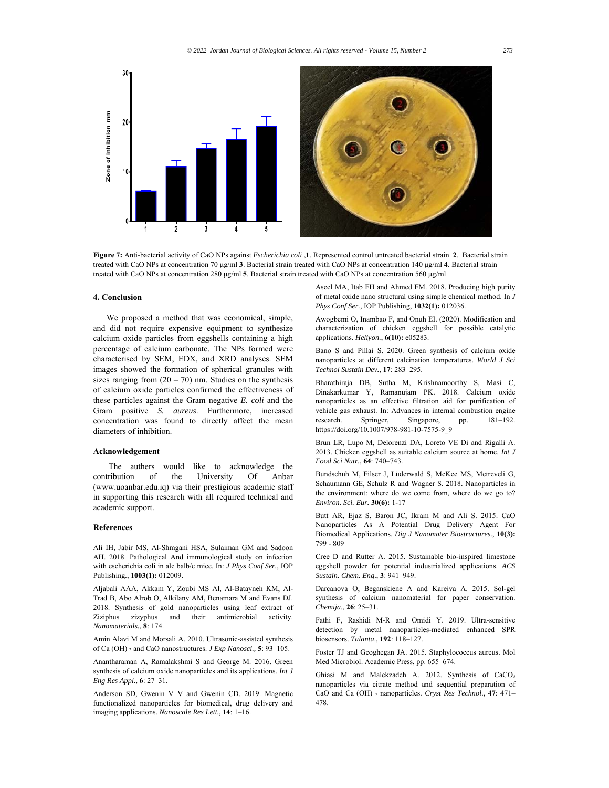

**Figure 7:** Anti-bacterial activity of CaO NPs against *Escherichia coli* ,**1**. Represented control untreated bacterial strain **2**. Bacterial strain treated with CaO NPs at concentration 70 μg/ml **3**. Bacterial strain treated with CaO NPs at concentration 140 μg/ml **4**. Bacterial strain treated with CaO NPs at concentration 280 μg/ml **5**. Bacterial strain treated with CaO NPs at concentration 560 μg/ml

#### **4. Conclusion**

 We proposed a method that was economical, simple, and did not require expensive equipment to synthesize calcium oxide particles from eggshells containing a high percentage of calcium carbonate. The NPs formed were characterised by SEM, EDX, and XRD analyses. SEM images showed the formation of spherical granules with sizes ranging from  $(20 - 70)$  nm. Studies on the synthesis of calcium oxide particles confirmed the effectiveness of these particles against the Gram negative *E. coli* and the Gram positive *S. aureus*. Furthermore, increased concentration was found to directly affect the mean diameters of inhibition.

### **Acknowledgement**

 The authers would like to acknowledge the contribution of the University Of Anbar (www.uoanbar.edu.iq) via their prestigious academic staff in supporting this research with all required technical and academic support.

### **References**

Ali IH, Jabir MS, Al-Shmgani HSA, Sulaiman GM and Sadoon AH. 2018. Pathological And immunological study on infection with escherichia coli in ale balb/c mice. In: *J Phys Conf Ser.*, IOP Publishing*.*, **1003(1):** 012009.

Aljabali AAA, Akkam Y, Zoubi MS Al, Al-Batayneh KM, Al-Trad B, Abo Alrob O, Alkilany AM, Benamara M and Evans DJ. 2018. Synthesis of gold nanoparticles using leaf extract of Ziziphus zizyphus and their antimicrobial activity. *Nanomaterials.*, **8**: 174.

Amin Alavi M and Morsali A. 2010. Ultrasonic-assisted synthesis of Ca (OH) 2 and CaO nanostructures. *J Exp Nanosci.,* **5**: 93–105.

Anantharaman A, Ramalakshmi S and George M. 2016. Green synthesis of calcium oxide nanoparticles and its applications. *Int J Eng Res Appl.,* **6**: 27–31.

Anderson SD, Gwenin V V and Gwenin CD. 2019. Magnetic functionalized nanoparticles for biomedical, drug delivery and imaging applications. *Nanoscale Res Lett.,* **14**: 1–16.

Aseel MA, Itab FH and Ahmed FM. 2018. Producing high purity of metal oxide nano structural using simple chemical method. In *J Phys Conf Ser.*, IOP Publishing, **1032(1):** 012036.

Awogbemi O, Inambao F, and Onuh EI. (2020). Modification and characterization of chicken eggshell for possible catalytic applications. *Heliyon.*, **6(10):** e05283.

Bano S and Pillai S. 2020. Green synthesis of calcium oxide nanoparticles at different calcination temperatures. *World J Sci Technol Sustain Dev.*, **17**: 283–295.

Bharathiraja DB, Sutha M, Krishnamoorthy S, Masi C, Dinakarkumar Y, Ramanujam PK. 2018. Calcium oxide nanoparticles as an effective filtration aid for purification of vehicle gas exhaust. In: Advances in internal combustion engine research. Springer, Singapore, pp. 181–192. https://doi.org/10.1007/978-981-10-7575-9\_9

Brun LR, Lupo M, Delorenzi DA, Loreto VE Di and Rigalli A. 2013. Chicken eggshell as suitable calcium source at home. *Int J Food Sci Nutr.*, **64**: 740–743.

Bundschuh M, Filser J, Lüderwald S, McKee MS, Metreveli G, Schaumann GE, Schulz R and Wagner S. 2018. Nanoparticles in the environment: where do we come from, where do we go to? *Environ. Sci. Eur.* **30(6):** 1-17

Butt AR, Ejaz S, Baron JC, Ikram M and Ali S. 2015. CaO Nanoparticles As A Potential Drug Delivery Agent For Biomedical Applications. *Dig J Nanomater Biostructures*., **10(3):** 799 - 809

Cree D and Rutter A. 2015. Sustainable bio-inspired limestone eggshell powder for potential industrialized applications. *ACS Sustain. Chem. Eng*., **3**: 941–949.

Darcanova O, Beganskiene A and Kareiva A. 2015. Sol-gel synthesis of calcium nanomaterial for paper conservation. *Chemija*., **26**: 25–31.

Fathi F, Rashidi M-R and Omidi Y. 2019. Ultra-sensitive detection by metal nanoparticles-mediated enhanced SPR biosensors. *Talanta*., **192**: 118–127.

Foster TJ and Geoghegan JA. 2015. Staphylococcus aureus. Mol Med Microbiol. Academic Press, pp. 655–674.

Ghiasi M and Malekzadeh A. 2012. Synthesis of CaCO3 nanoparticles via citrate method and sequential preparation of CaO and Ca (OH) 2 nanoparticles. *Cryst Res Technol*., **47**: 471– 478.